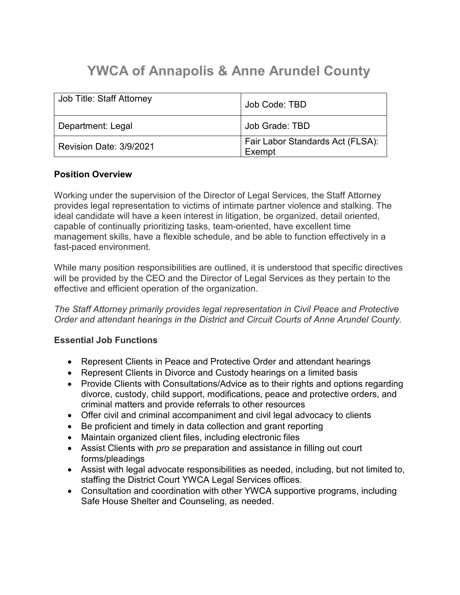# **YWCA of Annapolis & Anne Arundel County**

| Job Title: Staff Attorney | Job Code: TBD                              |
|---------------------------|--------------------------------------------|
| Department: Legal         | Job Grade: TBD                             |
| Revision Date: 3/9/2021   | Fair Labor Standards Act (FLSA):<br>Exempt |

# **Position Overview**

Working under the supervision of the Director of Legal Services, the Staff Attorney provides legal representation to victims of intimate partner violence and stalking. The ideal candidate will have a keen interest in litigation, be organized, detail oriented, capable of continually prioritizing tasks, team-oriented, have excellent time management skills, have a flexible schedule, and be able to function effectively in a fast-paced environment.

While many position responsibilities are outlined, it is understood that specific directives will be provided by the CEO and the Director of Legal Services as they pertain to the effective and efficient operation of the organization.

*The Staff Attorney primarily provides legal representation in Civil Peace and Protective Order and attendant hearings in the District and Circuit Courts of Anne Arundel County.*

# **Essential Job Functions**

- Represent Clients in Peace and Protective Order and attendant hearings
- Represent Clients in Divorce and Custody hearings on a limited basis
- Provide Clients with Consultations/Advice as to their rights and options regarding divorce, custody, child support, modifications, peace and protective orders, and criminal matters and provide referrals to other resources
- Offer civil and criminal accompaniment and civil legal advocacy to clients
- Be proficient and timely in data collection and grant reporting
- Maintain organized client files, including electronic files
- Assist Clients with *pro se* preparation and assistance in filling out court forms/pleadings
- Assist with legal advocate responsibilities as needed, including, but not limited to, staffing the District Court YWCA Legal Services offices.
- Consultation and coordination with other YWCA supportive programs, including Safe House Shelter and Counseling, as needed.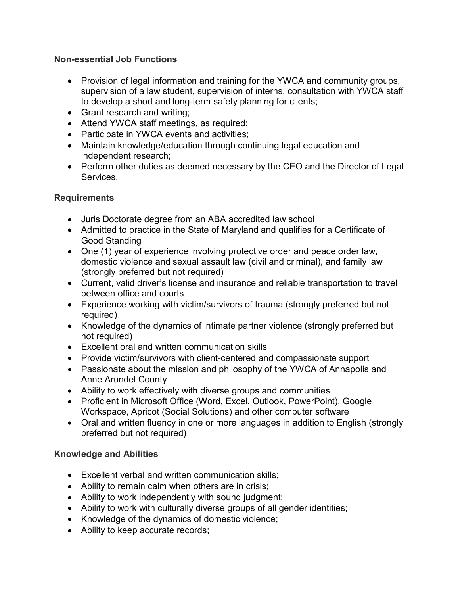# **Non-essential Job Functions**

- Provision of legal information and training for the YWCA and community groups, supervision of a law student, supervision of interns, consultation with YWCA staff to develop a short and long-term safety planning for clients;
- Grant research and writing;
- Attend YWCA staff meetings, as required;
- Participate in YWCA events and activities;
- Maintain knowledge/education through continuing legal education and independent research;
- Perform other duties as deemed necessary by the CEO and the Director of Legal Services.

# **Requirements**

- Juris Doctorate degree from an ABA accredited law school
- Admitted to practice in the State of Maryland and qualifies for a Certificate of Good Standing
- One (1) year of experience involving protective order and peace order law, domestic violence and sexual assault law (civil and criminal), and family law (strongly preferred but not required)
- Current, valid driver's license and insurance and reliable transportation to travel between office and courts
- Experience working with victim/survivors of trauma (strongly preferred but not required)
- Knowledge of the dynamics of intimate partner violence (strongly preferred but not required)
- Excellent oral and written communication skills
- Provide victim/survivors with client-centered and compassionate support
- Passionate about the mission and philosophy of the YWCA of Annapolis and Anne Arundel County
- Ability to work effectively with diverse groups and communities
- Proficient in Microsoft Office (Word, Excel, Outlook, PowerPoint), Google Workspace, Apricot (Social Solutions) and other computer software
- Oral and written fluency in one or more languages in addition to English (strongly preferred but not required)

# **Knowledge and Abilities**

- Excellent verbal and written communication skills;
- Ability to remain calm when others are in crisis;
- Ability to work independently with sound judgment;
- Ability to work with culturally diverse groups of all gender identities;
- Knowledge of the dynamics of domestic violence;
- Ability to keep accurate records;